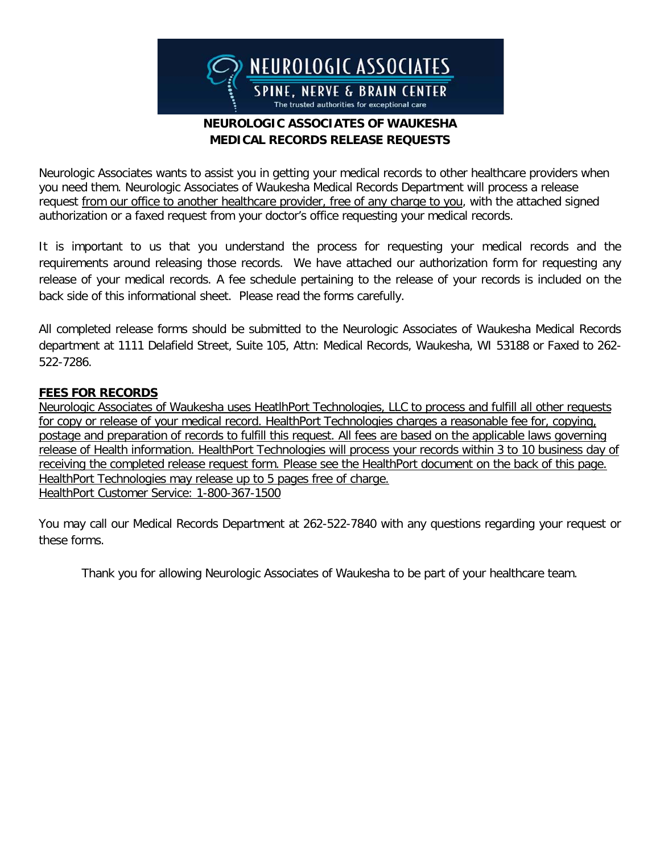

## **NEUROLOGIC ASSOCIATES OF WAUKESHA MEDICAL RECORDS RELEASE REQUESTS**

Neurologic Associates wants to assist you in getting your medical records to other healthcare providers when you need them. Neurologic Associates of Waukesha Medical Records Department will process a release request from our office to another healthcare provider, free of any charge to you, with the attached signed authorization or a faxed request from your doctor's office requesting your medical records.

It is important to us that you understand the process for requesting your medical records and the requirements around releasing those records. We have attached our authorization form for requesting any release of your medical records. A fee schedule pertaining to the release of your records is included on the back side of this informational sheet. Please read the forms carefully.

All completed release forms should be submitted to the Neurologic Associates of Waukesha Medical Records department at 1111 Delafield Street, Suite 105, Attn: Medical Records, Waukesha, WI 53188 or Faxed to 262- 522-7286.

### **FEES FOR RECORDS**

Neurologic Associates of Waukesha uses HeatlhPort Technologies, LLC to process and fulfill all other requests for copy or release of your medical record. HealthPort Technologies charges a reasonable fee for, copying, postage and preparation of records to fulfill this request. All fees are based on the applicable laws governing release of Health information. HealthPort Technologies will process your records within 3 to 10 business day of receiving the completed release request form. Please see the HealthPort document on the back of this page. HealthPort Technologies may release up to 5 pages free of charge. HealthPort Customer Service: 1-800-367-1500

You may call our Medical Records Department at 262-522-7840 with any questions regarding your request or these forms.

Thank you for allowing Neurologic Associates of Waukesha to be part of your healthcare team.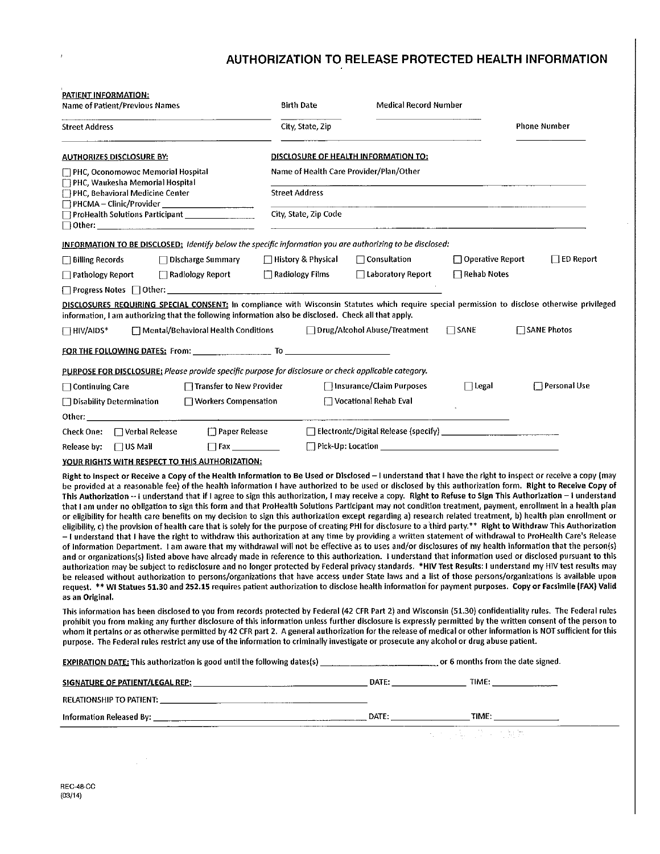# AUTHORIZATION TO RELEASE PROTECTED HEALTH INFORMATION

| PATIENT INFORMATION:<br>Name of Patient/Previous Names                                                                                                                                                                                                                                                                                                                                                                                                                                                                                                                                                                                                                                                                                                                                                                                                                                                                                                                                                                                                                                                                                                                                                                                                                                                                                                                                                                                                                                                                                                                                                                                                                                                                                                                                                                                                                                                                                                                                               | <b>Birth Date</b>                           | <b>Medical Record Number</b>   |                         |                     |  |
|------------------------------------------------------------------------------------------------------------------------------------------------------------------------------------------------------------------------------------------------------------------------------------------------------------------------------------------------------------------------------------------------------------------------------------------------------------------------------------------------------------------------------------------------------------------------------------------------------------------------------------------------------------------------------------------------------------------------------------------------------------------------------------------------------------------------------------------------------------------------------------------------------------------------------------------------------------------------------------------------------------------------------------------------------------------------------------------------------------------------------------------------------------------------------------------------------------------------------------------------------------------------------------------------------------------------------------------------------------------------------------------------------------------------------------------------------------------------------------------------------------------------------------------------------------------------------------------------------------------------------------------------------------------------------------------------------------------------------------------------------------------------------------------------------------------------------------------------------------------------------------------------------------------------------------------------------------------------------------------------------|---------------------------------------------|--------------------------------|-------------------------|---------------------|--|
| <b>Street Address</b>                                                                                                                                                                                                                                                                                                                                                                                                                                                                                                                                                                                                                                                                                                                                                                                                                                                                                                                                                                                                                                                                                                                                                                                                                                                                                                                                                                                                                                                                                                                                                                                                                                                                                                                                                                                                                                                                                                                                                                                | City, State, Zip                            |                                |                         | <b>Phone Number</b> |  |
| <b>AUTHORIZES DISCLOSURE BY:</b>                                                                                                                                                                                                                                                                                                                                                                                                                                                                                                                                                                                                                                                                                                                                                                                                                                                                                                                                                                                                                                                                                                                                                                                                                                                                                                                                                                                                                                                                                                                                                                                                                                                                                                                                                                                                                                                                                                                                                                     | <u>DISCLOSURE OF HEALTH INFORMATION TO:</u> |                                |                         |                     |  |
| PHC, Oconomowoc Memorial Hospital<br><b>PHC, Waukesha Memorial Hospital</b>                                                                                                                                                                                                                                                                                                                                                                                                                                                                                                                                                                                                                                                                                                                                                                                                                                                                                                                                                                                                                                                                                                                                                                                                                                                                                                                                                                                                                                                                                                                                                                                                                                                                                                                                                                                                                                                                                                                          | Name of Health Care Provider/Plan/Other     |                                |                         |                     |  |
| <b>FIPHC, Behavioral Medicine Center</b><br>$\Box$ PHCMA – Clinic/Provider $\Box$<br><u> 1980 - An Dùbhlachd ann an 1990 - An Dùbhlachd ann an 1990 - An Dùbhlachd ann an 1990 - An Dùbhlachd ann an 1</u>                                                                                                                                                                                                                                                                                                                                                                                                                                                                                                                                                                                                                                                                                                                                                                                                                                                                                                                                                                                                                                                                                                                                                                                                                                                                                                                                                                                                                                                                                                                                                                                                                                                                                                                                                                                           | <b>Street Address</b>                       |                                |                         |                     |  |
| ProHealth Solutions Participant __________________<br>City, State, Zip Code                                                                                                                                                                                                                                                                                                                                                                                                                                                                                                                                                                                                                                                                                                                                                                                                                                                                                                                                                                                                                                                                                                                                                                                                                                                                                                                                                                                                                                                                                                                                                                                                                                                                                                                                                                                                                                                                                                                          |                                             |                                |                         |                     |  |
| INFORMATION TO BE DISCLOSED: Identify below the specific information you are authorizing to be disclosed:                                                                                                                                                                                                                                                                                                                                                                                                                                                                                                                                                                                                                                                                                                                                                                                                                                                                                                                                                                                                                                                                                                                                                                                                                                                                                                                                                                                                                                                                                                                                                                                                                                                                                                                                                                                                                                                                                            |                                             |                                |                         |                     |  |
| $\Box$ Billing Records<br>$\Box$ Discharge Summary                                                                                                                                                                                                                                                                                                                                                                                                                                                                                                                                                                                                                                                                                                                                                                                                                                                                                                                                                                                                                                                                                                                                                                                                                                                                                                                                                                                                                                                                                                                                                                                                                                                                                                                                                                                                                                                                                                                                                   | □ History & Physical                        | $\Box$ Consultation            | $\Box$ Operative Report | $\Box$ ED Report    |  |
| $\Box$ Pathology Report<br>$\Box$ Radiology Report                                                                                                                                                                                                                                                                                                                                                                                                                                                                                                                                                                                                                                                                                                                                                                                                                                                                                                                                                                                                                                                                                                                                                                                                                                                                                                                                                                                                                                                                                                                                                                                                                                                                                                                                                                                                                                                                                                                                                   | Radiology Films                             | $\Box$ Laboratory Report       | $\Box$ Rehab Notes      |                     |  |
|                                                                                                                                                                                                                                                                                                                                                                                                                                                                                                                                                                                                                                                                                                                                                                                                                                                                                                                                                                                                                                                                                                                                                                                                                                                                                                                                                                                                                                                                                                                                                                                                                                                                                                                                                                                                                                                                                                                                                                                                      |                                             |                                |                         |                     |  |
| DISCLOSURES REQUIRING SPECIAL CONSENT: In compliance with Wisconsin Statutes which require special permission to disclose otherwise privileged<br>information, I am authorizing that the following information also be disclosed. Check all that apply.                                                                                                                                                                                                                                                                                                                                                                                                                                                                                                                                                                                                                                                                                                                                                                                                                                                                                                                                                                                                                                                                                                                                                                                                                                                                                                                                                                                                                                                                                                                                                                                                                                                                                                                                              |                                             |                                |                         |                     |  |
| $\Box$ HIV/AIDS*<br>$\Box$ Mental/Behavioral Health Conditions                                                                                                                                                                                                                                                                                                                                                                                                                                                                                                                                                                                                                                                                                                                                                                                                                                                                                                                                                                                                                                                                                                                                                                                                                                                                                                                                                                                                                                                                                                                                                                                                                                                                                                                                                                                                                                                                                                                                       |                                             | □ Drug/Alcohol Abuse/Treatment | $\Box$ SANE             | $\Box$ SANE Photos  |  |
|                                                                                                                                                                                                                                                                                                                                                                                                                                                                                                                                                                                                                                                                                                                                                                                                                                                                                                                                                                                                                                                                                                                                                                                                                                                                                                                                                                                                                                                                                                                                                                                                                                                                                                                                                                                                                                                                                                                                                                                                      |                                             |                                |                         |                     |  |
| PURPOSE FOR DISCLOSURE: Please provide specific purpose for disclosure or check applicable category.                                                                                                                                                                                                                                                                                                                                                                                                                                                                                                                                                                                                                                                                                                                                                                                                                                                                                                                                                                                                                                                                                                                                                                                                                                                                                                                                                                                                                                                                                                                                                                                                                                                                                                                                                                                                                                                                                                 |                                             |                                |                         |                     |  |
| $\Box$ Transfer to New Provider<br>$\Box$ Continuing Care                                                                                                                                                                                                                                                                                                                                                                                                                                                                                                                                                                                                                                                                                                                                                                                                                                                                                                                                                                                                                                                                                                                                                                                                                                                                                                                                                                                                                                                                                                                                                                                                                                                                                                                                                                                                                                                                                                                                            |                                             | □ Insurance/Claim Purposes     | $\Box$ Legal            | Personal Use        |  |
| □ Workers Compensation<br>□ Disability Determination                                                                                                                                                                                                                                                                                                                                                                                                                                                                                                                                                                                                                                                                                                                                                                                                                                                                                                                                                                                                                                                                                                                                                                                                                                                                                                                                                                                                                                                                                                                                                                                                                                                                                                                                                                                                                                                                                                                                                 |                                             | Vocational Rehab Eval          |                         |                     |  |
|                                                                                                                                                                                                                                                                                                                                                                                                                                                                                                                                                                                                                                                                                                                                                                                                                                                                                                                                                                                                                                                                                                                                                                                                                                                                                                                                                                                                                                                                                                                                                                                                                                                                                                                                                                                                                                                                                                                                                                                                      |                                             |                                |                         |                     |  |
| □ Verbal Release<br><b>Paper Release</b><br>Check One:                                                                                                                                                                                                                                                                                                                                                                                                                                                                                                                                                                                                                                                                                                                                                                                                                                                                                                                                                                                                                                                                                                                                                                                                                                                                                                                                                                                                                                                                                                                                                                                                                                                                                                                                                                                                                                                                                                                                               |                                             |                                |                         |                     |  |
| Release by:<br>$\Box$ US Mail                                                                                                                                                                                                                                                                                                                                                                                                                                                                                                                                                                                                                                                                                                                                                                                                                                                                                                                                                                                                                                                                                                                                                                                                                                                                                                                                                                                                                                                                                                                                                                                                                                                                                                                                                                                                                                                                                                                                                                        |                                             |                                |                         |                     |  |
| <u>YOUR RIGHTS WITH RESPECT TO THIS AUTHORIZATION:</u>                                                                                                                                                                                                                                                                                                                                                                                                                                                                                                                                                                                                                                                                                                                                                                                                                                                                                                                                                                                                                                                                                                                                                                                                                                                                                                                                                                                                                                                                                                                                                                                                                                                                                                                                                                                                                                                                                                                                               |                                             |                                |                         |                     |  |
| Right to Inspect or Receive a Copy of the Health Information to Be Used or Disclosed – I understand that I have the right to inspect or receive a copy (may<br>be provided at a reasonable fee) of the health information I have authorized to be used or disclosed by this authorization form. Right to Receive Copy of<br>This Authorization -- I understand that if I agree to sign this authorization, I may receive a copy. Right to Refuse to Sign This Authorization - I understand<br>that I am under no obligation to sign this form and that ProHealth Solutions Participant may not condition treatment, payment, enrollment in a health plan<br>or eligibility for health care benefits on my decision to sign this authorization except regarding a) research related treatment, b) health plan enrollment or<br>eligibility, c) the provision of health care that is solely for the purpose of creating PHI for disclosure to a third party.** Right to Withdraw This Authorization<br>- I understand that I have the right to withdraw this authorization at any time by providing a written statement of withdrawal to ProHealth Care's Release<br>of Information Department. I am aware that my withdrawal will not be effective as to uses and/or disclosures of my health information that the person(s)<br>and or organizations(s) listed above have already made in reference to this authorization. I understand that information used or disclosed pursuant to this<br>authorization may be subject to redisclosure and no longer protected by Federal privacy standards. *HIV Test Results: I understand my HIV test results may<br>be released without authorization to persons/organizations that have access under State laws and a list of those persons/organizations is available upon<br>request. ** WI Statues 51.30 and 252.15 requires patient authorization to disclose health information for payment purposes. Copy or Facsimile (FAX) Valid<br>as an Original. |                                             |                                |                         |                     |  |
| This information has been disclosed to you from records protected by Federal (42 CFR Part 2) and Wisconsin (51.30) confidentiality rules. The Federal rules<br>prohibit you from making any further disclosure of this information unless further disclosure is expressly permitted by the written consent of the person to<br>whom it pertains or as otherwise permitted by 42 CFR part 2. A general authorization for the release of medical or other information is NOT sufficient for this<br>purpose. The Federal rules restrict any use of the information to criminally investigate or prosecute any alcohol or drug abuse patient.                                                                                                                                                                                                                                                                                                                                                                                                                                                                                                                                                                                                                                                                                                                                                                                                                                                                                                                                                                                                                                                                                                                                                                                                                                                                                                                                                           |                                             |                                |                         |                     |  |
|                                                                                                                                                                                                                                                                                                                                                                                                                                                                                                                                                                                                                                                                                                                                                                                                                                                                                                                                                                                                                                                                                                                                                                                                                                                                                                                                                                                                                                                                                                                                                                                                                                                                                                                                                                                                                                                                                                                                                                                                      |                                             |                                |                         |                     |  |
|                                                                                                                                                                                                                                                                                                                                                                                                                                                                                                                                                                                                                                                                                                                                                                                                                                                                                                                                                                                                                                                                                                                                                                                                                                                                                                                                                                                                                                                                                                                                                                                                                                                                                                                                                                                                                                                                                                                                                                                                      |                                             |                                |                         |                     |  |
|                                                                                                                                                                                                                                                                                                                                                                                                                                                                                                                                                                                                                                                                                                                                                                                                                                                                                                                                                                                                                                                                                                                                                                                                                                                                                                                                                                                                                                                                                                                                                                                                                                                                                                                                                                                                                                                                                                                                                                                                      |                                             |                                |                         |                     |  |
|                                                                                                                                                                                                                                                                                                                                                                                                                                                                                                                                                                                                                                                                                                                                                                                                                                                                                                                                                                                                                                                                                                                                                                                                                                                                                                                                                                                                                                                                                                                                                                                                                                                                                                                                                                                                                                                                                                                                                                                                      |                                             |                                |                         |                     |  |

医内障 第三次形成

 $\boldsymbol{t}$